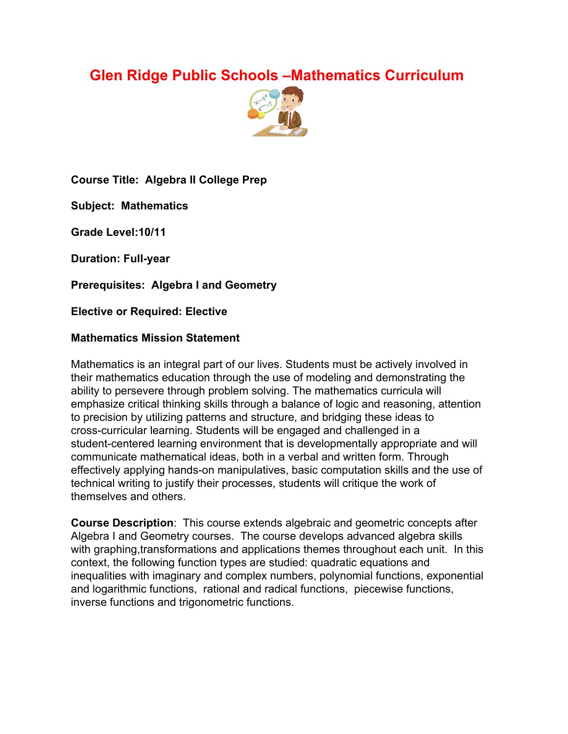# **Glen Ridge Public Schools –Mathematics Curriculum**



**Course Title: Algebra II College Prep**

**Subject: Mathematics**

**Grade Level:10/11**

**Duration: Full-year**

**Prerequisites: Algebra I and Geometry**

**Elective or Required: Elective**

#### **Mathematics Mission Statement**

Mathematics is an integral part of our lives. Students must be actively involved in their mathematics education through the use of modeling and demonstrating the ability to persevere through problem solving. The mathematics curricula will emphasize critical thinking skills through a balance of logic and reasoning, attention to precision by utilizing patterns and structure, and bridging these ideas to cross-curricular learning. Students will be engaged and challenged in a student-centered learning environment that is developmentally appropriate and will communicate mathematical ideas, both in a verbal and written form. Through effectively applying hands-on manipulatives, basic computation skills and the use of technical writing to justify their processes, students will critique the work of themselves and others.

**Course Description**: This course extends algebraic and geometric concepts after Algebra I and Geometry courses. The course develops advanced algebra skills with graphing, transformations and applications themes throughout each unit. In this context, the following function types are studied: quadratic equations and inequalities with imaginary and complex numbers, polynomial functions, exponential and logarithmic functions, rational and radical functions, piecewise functions, inverse functions and trigonometric functions.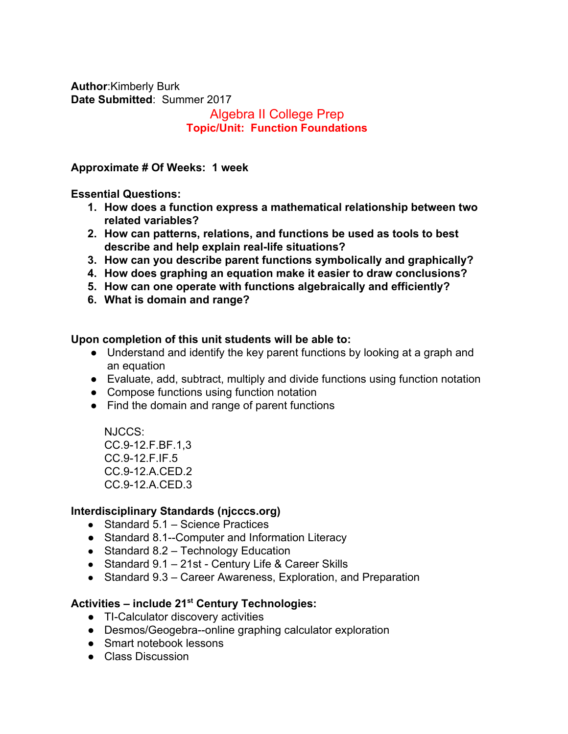**Author**:Kimberly Burk **Date Submitted**: Summer 2017

## Algebra II College Prep **Topic/Unit: Function Foundations**

**Approximate # Of Weeks: 1 week**

**Essential Questions:**

- **1. How does a function express a mathematical relationship between two related variables?**
- **2. How can patterns, relations, and functions be used as tools to best describe and help explain real-life situations?**
- **3. How can you describe parent functions symbolically and graphically?**
- **4. How does graphing an equation make it easier to draw conclusions?**
- **5. How can one operate with functions algebraically and efficiently?**
- **6. What is domain and range?**

## **Upon completion of this unit students will be able to:**

- Understand and identify the key parent functions by looking at a graph and an equation
- Evaluate, add, subtract, multiply and divide functions using function notation
- Compose functions using function notation
- Find the domain and range of parent functions

NJCCS: CC.9-12.F.BF.1,3 CC.9-12.F.IF.5 CC.9-12.A.CED.2 CC.9-12.A.CED.3

## **Interdisciplinary Standards (njcccs.org)**

- $\bullet$  Standard 5.1 Science Practices
- Standard 8.1--Computer and Information Literacy
- Standard  $8.2 -$  Technology Education
- Standard 9.1 21st Century Life & Career Skills
- Standard 9.3 Career Awareness, Exploration, and Preparation

## **Activities – include 21 st Century Technologies:**

- TI-Calculator discovery activities
- Desmos/Geogebra--online graphing calculator exploration
- Smart notebook lessons
- Class Discussion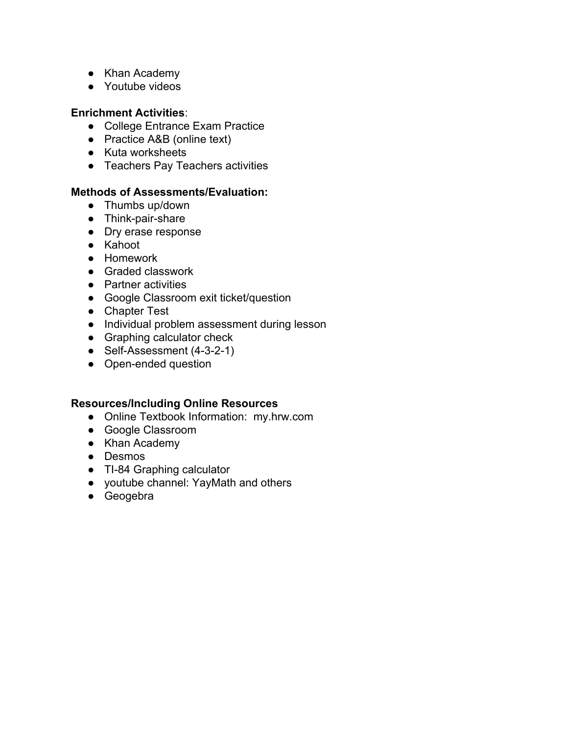- Khan Academy
- Youtube videos

#### **Enrichment Activities**:

- College Entrance Exam Practice
- Practice A&B (online text)
- Kuta worksheets
- Teachers Pay Teachers activities

### **Methods of Assessments/Evaluation:**

- Thumbs up/down
- Think-pair-share
- Dry erase response
- Kahoot
- Homework
- Graded classwork
- Partner activities
- Google Classroom exit ticket/question
- Chapter Test
- Individual problem assessment during lesson
- Graphing calculator check
- Self-Assessment (4-3-2-1)
- Open-ended question

- Online Textbook Information: my.hrw.com
- Google Classroom
- Khan Academy
- Desmos
- TI-84 Graphing calculator
- youtube channel: YayMath and others
- Geogebra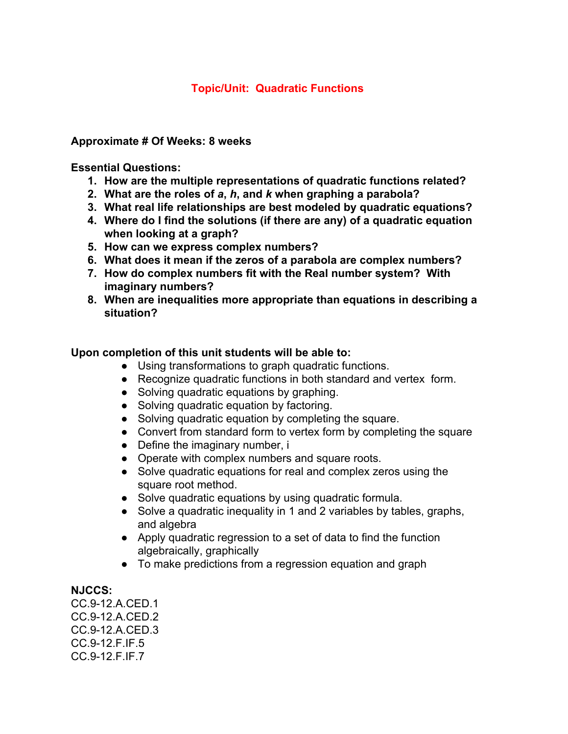## **Topic/Unit: Quadratic Functions**

#### **Approximate # Of Weeks: 8 weeks**

#### **Essential Questions:**

- **1. How are the multiple representations of quadratic functions related?**
- **2. What are the roles of** *a***,** *h***, and** *k* **when graphing a parabola?**
- **3. What real life relationships are best modeled by quadratic equations?**
- **4. Where do I find the solutions (if there are any) of a quadratic equation when looking at a graph?**
- **5. How can we express complex numbers?**
- **6. What does it mean if the zeros of a parabola are complex numbers?**
- **7. How do complex numbers fit with the Real number system? With imaginary numbers?**
- **8. When are inequalities more appropriate than equations in describing a situation?**

#### **Upon completion of this unit students will be able to:**

- Using transformations to graph quadratic functions.
- Recognize quadratic functions in both standard and vertex form.
- Solving quadratic equations by graphing.
- Solving quadratic equation by factoring.
- Solving quadratic equation by completing the square.
- Convert from standard form to vertex form by completing the square
- Define the imaginary number, i
- Operate with complex numbers and square roots.
- Solve quadratic equations for real and complex zeros using the square root method.
- Solve quadratic equations by using quadratic formula.
- Solve a quadratic inequality in 1 and 2 variables by tables, graphs, and algebra
- Apply quadratic regression to a set of data to find the function algebraically, graphically
- To make predictions from a regression equation and graph

#### **NJCCS:**

CC.9-12.A.CED.1 CC.9-12.A.CED.2 CC.9-12.A.CED.3 CC.9-12.F.IF.5 CC.9-12.F.IF.7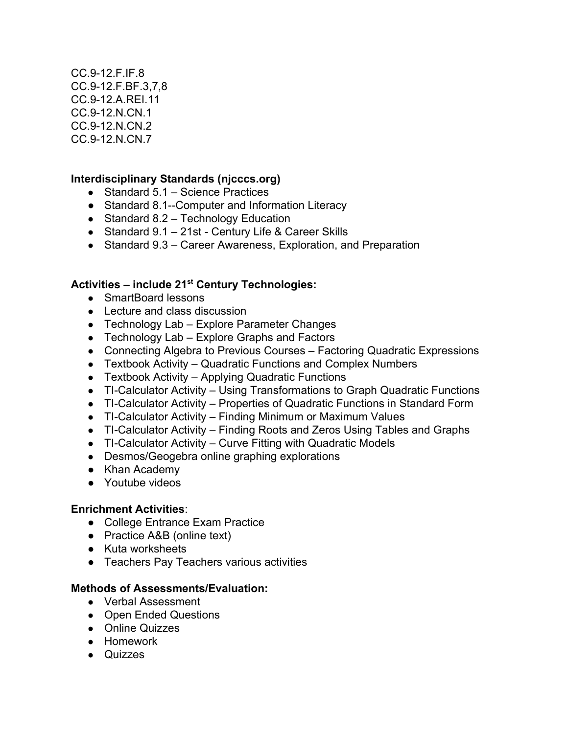CC.9-12.F.IF.8 CC.9-12.F.BF.3,7,8 CC.9-12.A.REI.11 CC.9-12.N.CN.1 CC.9-12.N.CN.2 CC.9-12.N.CN.7

#### **Interdisciplinary Standards (njcccs.org)**

- Standard 5.1 Science Practices
- Standard 8.1--Computer and Information Literacy
- Standard 8.2 Technology Education
- Standard 9.1 21st Century Life & Career Skills
- Standard 9.3 Career Awareness, Exploration, and Preparation

## **Activities – include 21 st Century Technologies:**

- SmartBoard lessons
- Lecture and class discussion
- Technology Lab Explore Parameter Changes
- $\bullet$  Technology Lab Explore Graphs and Factors
- Connecting Algebra to Previous Courses Factoring Quadratic Expressions
- Textbook Activity Quadratic Functions and Complex Numbers
- Textbook Activity Applying Quadratic Functions
- TI-Calculator Activity Using Transformations to Graph Quadratic Functions
- TI-Calculator Activity Properties of Quadratic Functions in Standard Form
- TI-Calculator Activity Finding Minimum or Maximum Values
- TI-Calculator Activity Finding Roots and Zeros Using Tables and Graphs
- TI-Calculator Activity Curve Fitting with Quadratic Models
- Desmos/Geogebra online graphing explorations
- Khan Academy
- Youtube videos

#### **Enrichment Activities**:

- College Entrance Exam Practice
- Practice A&B (online text)
- Kuta worksheets
- Teachers Pay Teachers various activities

#### **Methods of Assessments/Evaluation:**

- Verbal Assessment
- Open Ended Questions
- Online Quizzes
- Homework
- Quizzes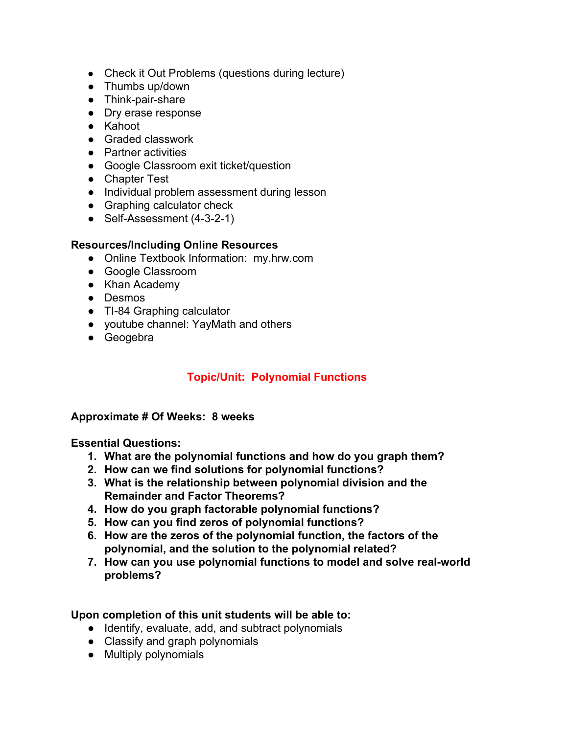- Check it Out Problems (questions during lecture)
- Thumbs up/down
- Think-pair-share
- Dry erase response
- Kahoot
- Graded classwork
- Partner activities
- Google Classroom exit ticket/question
- Chapter Test
- Individual problem assessment during lesson
- Graphing calculator check
- Self-Assessment (4-3-2-1)

### **Resources/Including Online Resources**

- Online Textbook Information: my.hrw.com
- Google Classroom
- Khan Academy
- Desmos
- TI-84 Graphing calculator
- youtube channel: YayMath and others
- Geogebra

## **Topic/Unit: Polynomial Functions**

#### **Approximate # Of Weeks: 8 weeks**

**Essential Questions:**

- **1. What are the polynomial functions and how do you graph them?**
- **2. How can we find solutions for polynomial functions?**
- **3. What is the relationship between polynomial division and the Remainder and Factor Theorems?**
- **4. How do you graph factorable polynomial functions?**
- **5. How can you find zeros of polynomial functions?**
- **6. How are the zeros of the polynomial function, the factors of the polynomial, and the solution to the polynomial related?**
- **7. How can you use polynomial functions to model and solve real-world problems?**

#### **Upon completion of this unit students will be able to:**

- Identify, evaluate, add, and subtract polynomials
- Classify and graph polynomials
- Multiply polynomials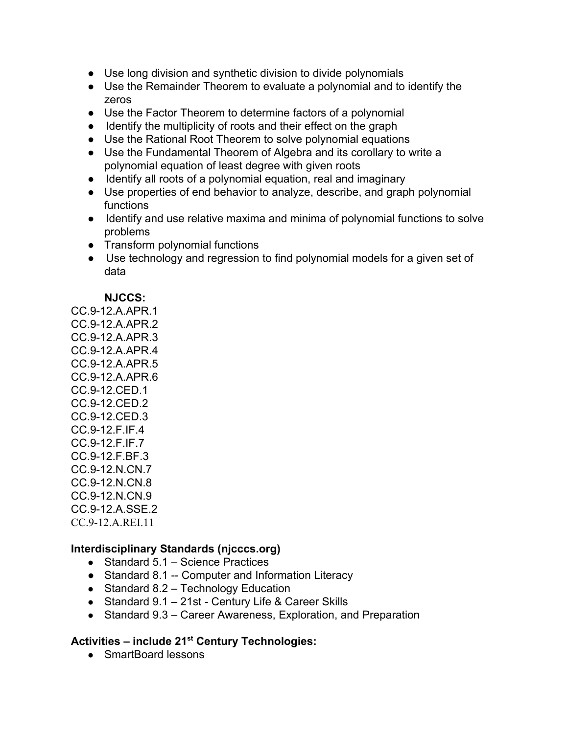- Use long division and synthetic division to divide polynomials
- Use the Remainder Theorem to evaluate a polynomial and to identify the zeros
- Use the Factor Theorem to determine factors of a polynomial
- Identify the multiplicity of roots and their effect on the graph
- Use the Rational Root Theorem to solve polynomial equations
- Use the Fundamental Theorem of Algebra and its corollary to write a polynomial equation of least degree with given roots
- Identify all roots of a polynomial equation, real and imaginary
- Use properties of end behavior to analyze, describe, and graph polynomial functions
- Identify and use relative maxima and minima of polynomial functions to solve problems
- Transform polynomial functions
- Use technology and regression to find polynomial models for a given set of data

**NJCCS:**

CC.9-12.A.APR.1 CC.9-12.A.APR.2 CC.9-12.A.APR.3 CC.9-12.A.APR.4 CC.9-12.A.APR.5 CC.9-12.A.APR.6 CC.9-12.CED.1 CC.9-12.CED.2 CC.9-12.CED.3 CC.9-12.F.IF.4 CC.9-12.F.IF.7 CC.9-12.F.BF.3 CC.9-12.N.CN.7 CC.9-12.N.CN.8 CC.9-12.N.CN.9 CC.9-12.A.SSE.2 CC.9-12.A.REI.11

#### **Interdisciplinary Standards (njcccs.org)**

- $\bullet$  Standard 5.1 Science Practices
- Standard 8.1 -- Computer and Information Literacy
- $\bullet$  Standard 8.2 Technology Education
- Standard 9.1 21st Century Life & Career Skills
- Standard 9.3 Career Awareness, Exploration, and Preparation

## **Activities – include 21 st Century Technologies:**

• SmartBoard lessons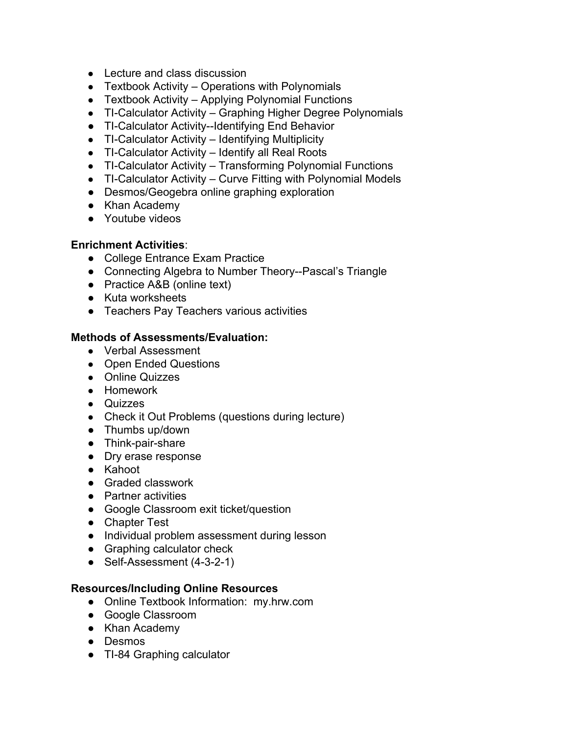- Lecture and class discussion
- $\bullet$  Textbook Activity Operations with Polynomials
- Textbook Activity Applying Polynomial Functions
- TI-Calculator Activity Graphing Higher Degree Polynomials
- TI-Calculator Activity--Identifying End Behavior
- $\bullet$  TI-Calculator Activity Identifying Multiplicity
- TI-Calculator Activity Identify all Real Roots
- TI-Calculator Activity Transforming Polynomial Functions
- TI-Calculator Activity Curve Fitting with Polynomial Models
- Desmos/Geogebra online graphing exploration
- Khan Academy
- Youtube videos

## **Enrichment Activities**:

- College Entrance Exam Practice
- Connecting Algebra to Number Theory--Pascal's Triangle
- Practice A&B (online text)
- Kuta worksheets
- Teachers Pay Teachers various activities

## **Methods of Assessments/Evaluation:**

- Verbal Assessment
- Open Ended Questions
- Online Quizzes
- Homework
- Quizzes
- Check it Out Problems (questions during lecture)
- Thumbs up/down
- Think-pair-share
- Dry erase response
- Kahoot
- Graded classwork
- Partner activities
- Google Classroom exit ticket/question
- Chapter Test
- Individual problem assessment during lesson
- Graphing calculator check
- Self-Assessment (4-3-2-1)

- Online Textbook Information: my.hrw.com
- Google Classroom
- Khan Academy
- Desmos
- TI-84 Graphing calculator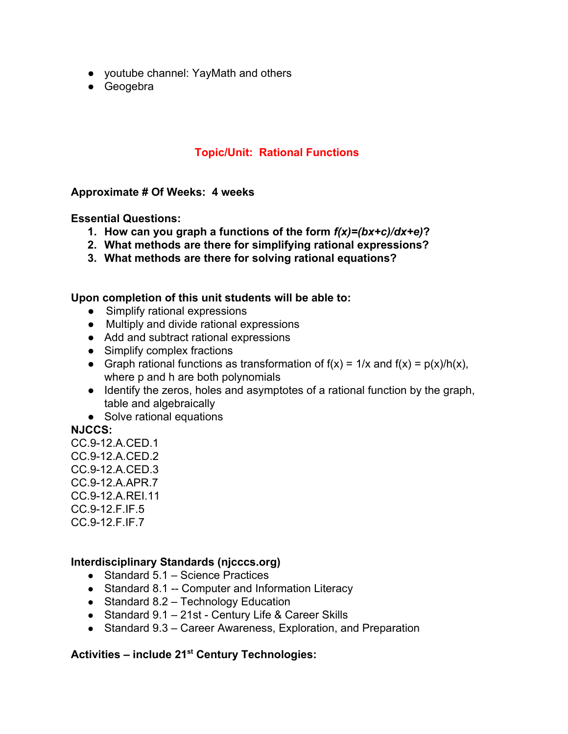- youtube channel: YayMath and others
- Geogebra

## **Topic/Unit: Rational Functions**

#### **Approximate # Of Weeks: 4 weeks**

#### **Essential Questions:**

- **1. How can you graph a functions of the form** *f(x)=(bx+c)/dx+e)***?**
- **2. What methods are there for simplifying rational expressions?**
- **3. What methods are there for solving rational equations?**

#### **Upon completion of this unit students will be able to:**

- Simplify rational expressions
- Multiply and divide rational expressions
- Add and subtract rational expressions
- Simplify complex fractions
- Graph rational functions as transformation of  $f(x) = 1/x$  and  $f(x) = p(x)/h(x)$ , where p and h are both polynomials
- Identify the zeros, holes and asymptotes of a rational function by the graph, table and algebraically
- Solve rational equations

#### **NJCCS:**

CC.9-12.A.CED.1 CC.9-12.A.CED.2 CC.9-12.A.CED.3 CC.9-12.A.APR.7 CC.9-12.A.REI.11 CC.9-12.F.IF.5 CC.9-12.F.IF.7

#### **Interdisciplinary Standards (njcccs.org)**

- $\bullet$  Standard 5.1 Science Practices
- Standard 8.1 -- Computer and Information Literacy
- Standard  $8.2 -$  Technology Education
- Standard 9.1 21st Century Life & Career Skills
- Standard 9.3 Career Awareness, Exploration, and Preparation

## **Activities – include 21 st Century Technologies:**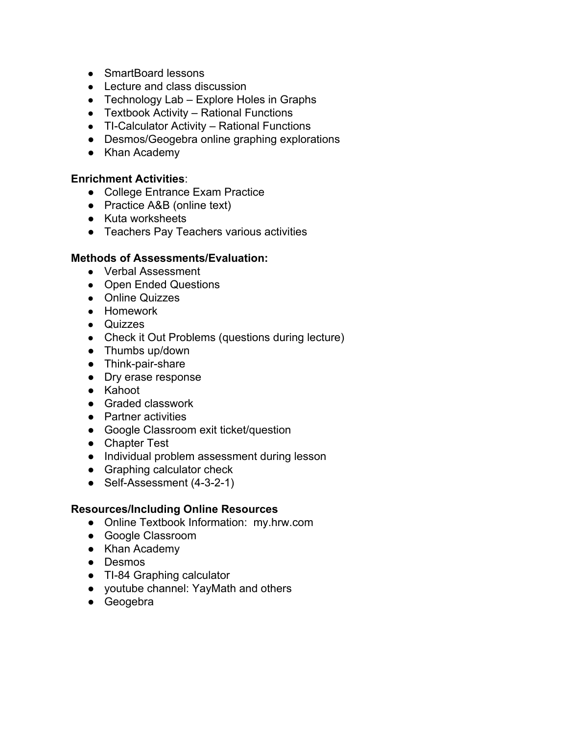- SmartBoard lessons
- Lecture and class discussion
- Technology Lab Explore Holes in Graphs
- Textbook Activity Rational Functions
- TI-Calculator Activity Rational Functions
- Desmos/Geogebra online graphing explorations
- Khan Academy

#### **Enrichment Activities**:

- College Entrance Exam Practice
- Practice A&B (online text)
- Kuta worksheets
- Teachers Pay Teachers various activities

#### **Methods of Assessments/Evaluation:**

- Verbal Assessment
- Open Ended Questions
- Online Quizzes
- Homework
- Quizzes
- Check it Out Problems (questions during lecture)
- Thumbs up/down
- Think-pair-share
- Dry erase response
- Kahoot
- Graded classwork
- Partner activities
- Google Classroom exit ticket/question
- Chapter Test
- Individual problem assessment during lesson
- Graphing calculator check
- Self-Assessment (4-3-2-1)

- Online Textbook Information: my.hrw.com
- Google Classroom
- Khan Academy
- Desmos
- TI-84 Graphing calculator
- youtube channel: YayMath and others
- Geogebra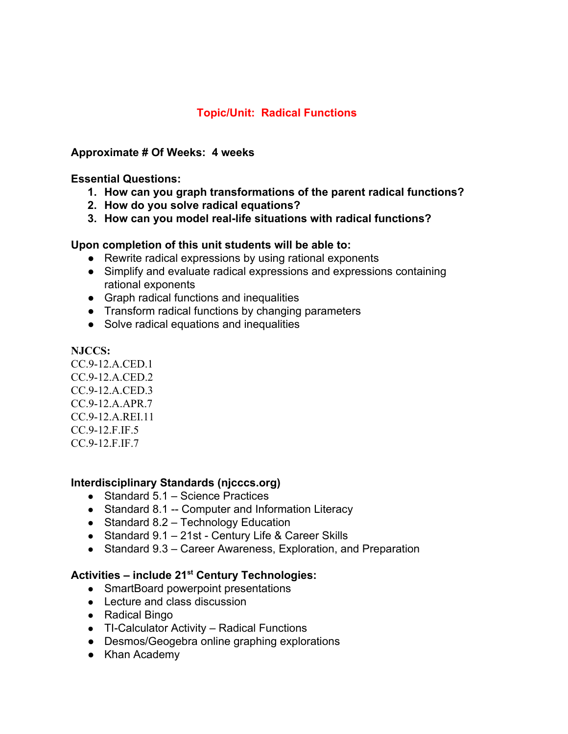## **Topic/Unit: Radical Functions**

#### **Approximate # Of Weeks: 4 weeks**

**Essential Questions:**

- **1. How can you graph transformations of the parent radical functions?**
- **2. How do you solve radical equations?**
- **3. How can you model real-life situations with radical functions?**

#### **Upon completion of this unit students will be able to:**

- Rewrite radical expressions by using rational exponents
- Simplify and evaluate radical expressions and expressions containing rational exponents
- Graph radical functions and inequalities
- Transform radical functions by changing parameters
- Solve radical equations and inequalities

#### **NJCCS:**

CC.9-12.A.CED.1 CC.9-12.A.CED.2 CC.9-12.A.CED.3 CC.9-12.A.APR.7 CC.9-12.A.REI.11 CC.9-12.F.IF.5 CC.9-12.F.IF.7

#### **Interdisciplinary Standards (njcccs.org)**

- Standard 5.1 Science Practices
- Standard 8.1 -- Computer and Information Literacy
- Standard  $8.2 -$  Technology Education
- Standard 9.1 21st Century Life & Career Skills
- Standard 9.3 Career Awareness, Exploration, and Preparation

## **Activities – include 21 st Century Technologies:**

- SmartBoard powerpoint presentations
- Lecture and class discussion
- Radical Bingo
- TI-Calculator Activity Radical Functions
- Desmos/Geogebra online graphing explorations
- Khan Academy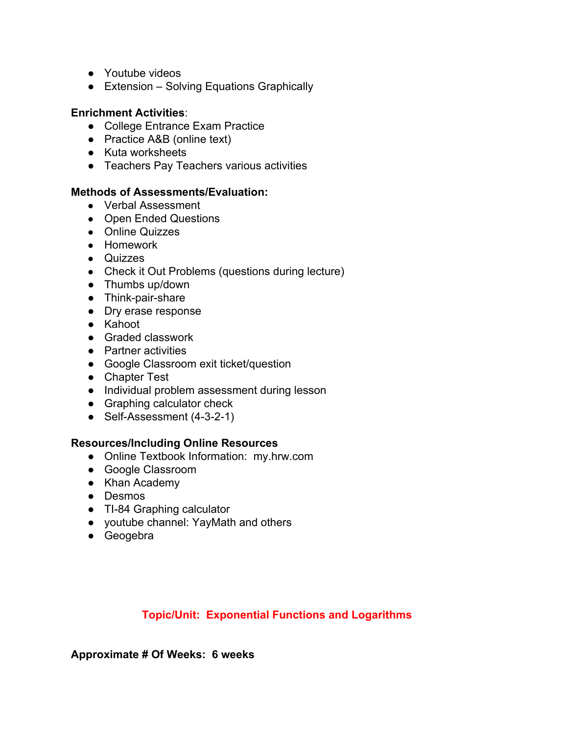- Youtube videos
- Extension Solving Equations Graphically

### **Enrichment Activities**:

- College Entrance Exam Practice
- Practice A&B (online text)
- Kuta worksheets
- Teachers Pay Teachers various activities

### **Methods of Assessments/Evaluation:**

- Verbal Assessment
- Open Ended Questions
- Online Quizzes
- Homework
- Quizzes
- Check it Out Problems (questions during lecture)
- Thumbs up/down
- Think-pair-share
- Dry erase response
- Kahoot
- Graded classwork
- Partner activities
- Google Classroom exit ticket/question
- Chapter Test
- Individual problem assessment during lesson
- Graphing calculator check
- Self-Assessment (4-3-2-1)

#### **Resources/Including Online Resources**

- Online Textbook Information: my.hrw.com
- Google Classroom
- Khan Academy
- Desmos
- TI-84 Graphing calculator
- youtube channel: YayMath and others
- Geogebra

## **Topic/Unit: Exponential Functions and Logarithms**

**Approximate # Of Weeks: 6 weeks**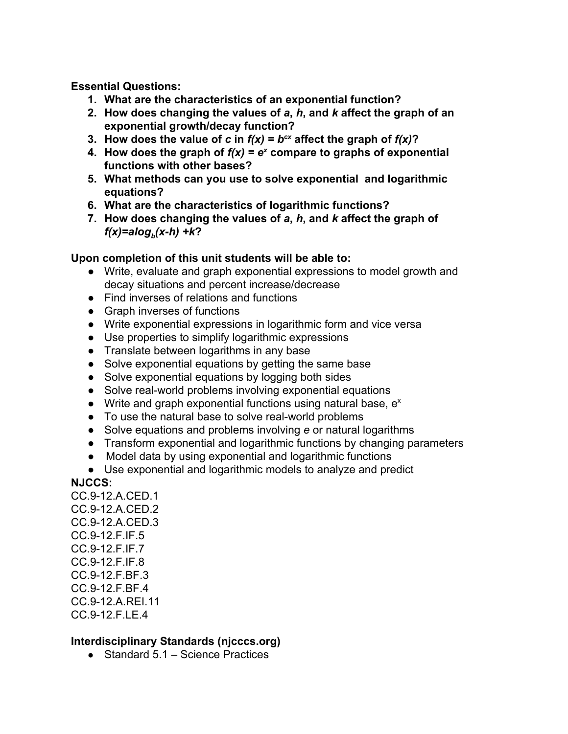**Essential Questions:**

- **1. What are the characteristics of an exponential function?**
- **2. How does changing the values of** *a***,** *h***, and** *k* **affect the graph of an exponential growth/decay function?**
- **3.** How does the value of *c* in  $f(x) = b^{cx}$  affect the graph of  $f(x)$ ?
- **4. How does the graph of** *f(x) = e x* **compare to graphs of exponential functions with other bases?**
- **5. What methods can you use to solve exponential and logarithmic equations?**
- **6. What are the characteristics of logarithmic functions?**
- **7. How does changing the values of** *a***,** *h***, and** *k* **affect the graph of** *f(x)=alogb (x-h) +k***?**

## **Upon completion of this unit students will be able to:**

- Write, evaluate and graph exponential expressions to model growth and decay situations and percent increase/decrease
- Find inverses of relations and functions
- Graph inverses of functions
- Write exponential expressions in logarithmic form and vice versa
- Use properties to simplify logarithmic expressions
- Translate between logarithms in any base
- Solve exponential equations by getting the same base
- Solve exponential equations by logging both sides
- Solve real-world problems involving exponential equations
- $\bullet$  Write and graph exponential functions using natural base,  $e^x$
- To use the natural base to solve real-world problems
- Solve equations and problems involving *e* or natural logarithms
- Transform exponential and logarithmic functions by changing parameters
- Model data by using exponential and logarithmic functions
- Use exponential and logarithmic models to analyze and predict

## **NJCCS:**

CC.9-12.A.CED.1 CC.9-12.A.CED.2 CC.9-12.A.CED.3 CC.9-12.F.IF.5 CC.9-12.F.IF.7 CC.9-12.F.IF.8 CC.9-12.F.BF.3 CC.9-12.F.BF.4 CC.9-12.A.REI.11 CC.9-12.F.LE.4

## **Interdisciplinary Standards (njcccs.org)**

● Standard 5.1 – Science Practices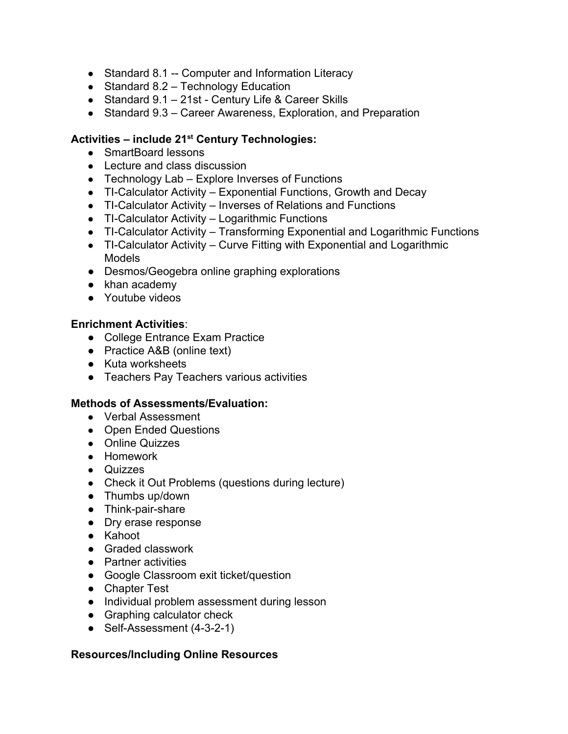- Standard 8.1 -- Computer and Information Literacy
- Standard  $8.2 -$  Technology Education
- Standard 9.1 21st Century Life & Career Skills
- Standard 9.3 Career Awareness, Exploration, and Preparation

## **Activities – include 21 st Century Technologies:**

- SmartBoard lessons
- Lecture and class discussion
- $\bullet$  Technology Lab Explore Inverses of Functions
- TI-Calculator Activity Exponential Functions, Growth and Decay
- TI-Calculator Activity Inverses of Relations and Functions
- TI-Calculator Activity Logarithmic Functions
- TI-Calculator Activity Transforming Exponential and Logarithmic Functions
- TI-Calculator Activity Curve Fitting with Exponential and Logarithmic Models
- Desmos/Geogebra online graphing explorations
- khan academy
- Youtube videos

## **Enrichment Activities**:

- College Entrance Exam Practice
- Practice A&B (online text)
- Kuta worksheets
- Teachers Pay Teachers various activities

## **Methods of Assessments/Evaluation:**

- Verbal Assessment
- Open Ended Questions
- Online Quizzes
- Homework
- Quizzes
- Check it Out Problems (questions during lecture)
- Thumbs up/down
- Think-pair-share
- Dry erase response
- Kahoot
- Graded classwork
- Partner activities
- Google Classroom exit ticket/question
- Chapter Test
- Individual problem assessment during lesson
- Graphing calculator check
- Self-Assessment (4-3-2-1)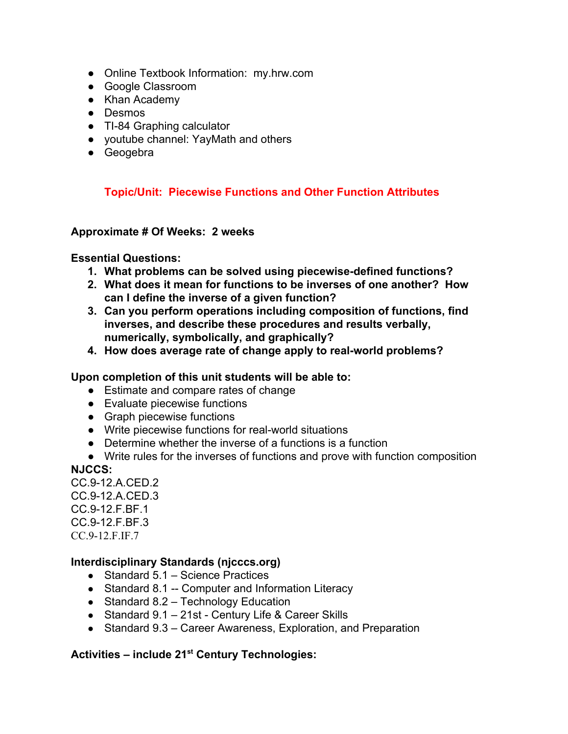- Online Textbook Information: my.hrw.com
- Google Classroom
- Khan Academy
- Desmos
- TI-84 Graphing calculator
- youtube channel: YayMath and others
- Geogebra

## **Topic/Unit: Piecewise Functions and Other Function Attributes**

#### **Approximate # Of Weeks: 2 weeks**

### **Essential Questions:**

- **1. What problems can be solved using piecewise-defined functions?**
- **2. What does it mean for functions to be inverses of one another? How can I define the inverse of a given function?**
- **3. Can you perform operations including composition of functions, find inverses, and describe these procedures and results verbally, numerically, symbolically, and graphically?**
- **4. How does average rate of change apply to real-world problems?**

#### **Upon completion of this unit students will be able to:**

- Estimate and compare rates of change
- Evaluate piecewise functions
- Graph piecewise functions
- Write piecewise functions for real-world situations
- Determine whether the inverse of a functions is a function
- Write rules for the inverses of functions and prove with function composition

## **NJCCS:**

CC.9-12.A.CED.2 CC.9-12.A.CED.3 CC.9-12.F.BF.1 CC.9-12.F.BF.3 CC.9-12.F.IF.7

## **Interdisciplinary Standards (njcccs.org)**

- $\bullet$  Standard 5.1 Science Practices
- Standard 8.1 -- Computer and Information Literacy
- $\bullet$  Standard 8.2 Technology Education
- Standard 9.1 21st Century Life & Career Skills
- Standard 9.3 Career Awareness, Exploration, and Preparation

## **Activities – include 21 st Century Technologies:**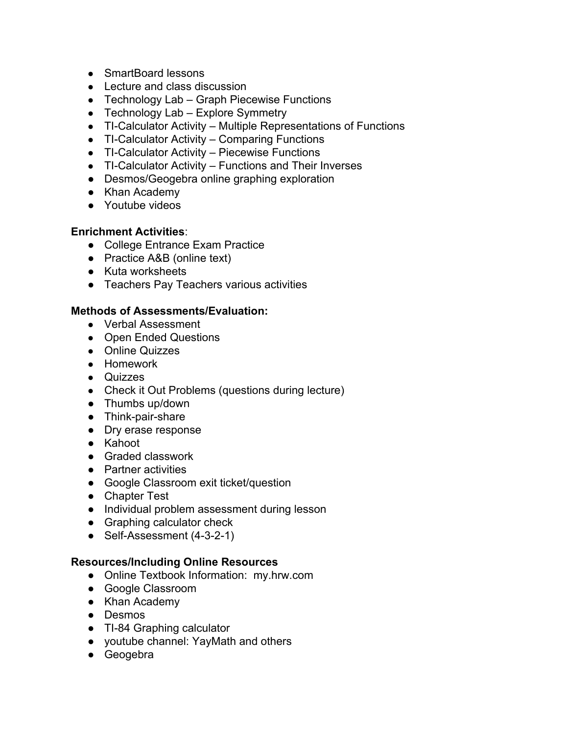- SmartBoard lessons
- Lecture and class discussion
- Technology Lab Graph Piecewise Functions
- $\bullet$  Technology Lab Explore Symmetry
- TI-Calculator Activity Multiple Representations of Functions
- TI-Calculator Activity Comparing Functions
- TI-Calculator Activity Piecewise Functions
- TI-Calculator Activity Functions and Their Inverses
- Desmos/Geogebra online graphing exploration
- Khan Academy
- Youtube videos

### **Enrichment Activities**:

- College Entrance Exam Practice
- Practice A&B (online text)
- Kuta worksheets
- Teachers Pay Teachers various activities

### **Methods of Assessments/Evaluation:**

- Verbal Assessment
- Open Ended Questions
- Online Quizzes
- Homework
- Quizzes
- Check it Out Problems (questions during lecture)
- Thumbs up/down
- Think-pair-share
- Dry erase response
- Kahoot
- Graded classwork
- Partner activities
- Google Classroom exit ticket/question
- Chapter Test
- Individual problem assessment during lesson
- Graphing calculator check
- Self-Assessment (4-3-2-1)

- Online Textbook Information: my.hrw.com
- Google Classroom
- Khan Academy
- Desmos
- TI-84 Graphing calculator
- youtube channel: YayMath and others
- Geogebra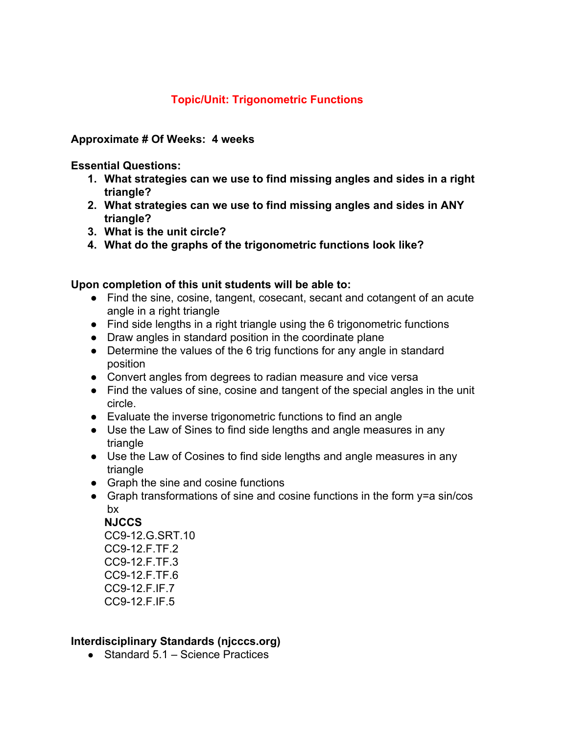## **Topic/Unit: Trigonometric Functions**

#### **Approximate # Of Weeks: 4 weeks**

**Essential Questions:**

- **1. What strategies can we use to find missing angles and sides in a right triangle?**
- **2. What strategies can we use to find missing angles and sides in ANY triangle?**
- **3. What is the unit circle?**
- **4. What do the graphs of the trigonometric functions look like?**

#### **Upon completion of this unit students will be able to:**

- Find the sine, cosine, tangent, cosecant, secant and cotangent of an acute angle in a right triangle
- Find side lengths in a right triangle using the 6 trigonometric functions
- Draw angles in standard position in the coordinate plane
- Determine the values of the 6 trig functions for any angle in standard position
- Convert angles from degrees to radian measure and vice versa
- Find the values of sine, cosine and tangent of the special angles in the unit circle.
- Evaluate the inverse trigonometric functions to find an angle
- Use the Law of Sines to find side lengths and angle measures in any triangle
- Use the Law of Cosines to find side lengths and angle measures in any triangle
- Graph the sine and cosine functions
- Graph transformations of sine and cosine functions in the form y=a sin/cos bx

**NJCCS** CC9-12.G.SRT.10 CC9-12.F.TF.2 CC9-12.F.TF.3 CC9-12.F.TF.6 CC9-12.F.IF.7 CC9-12.F.IF.5

#### **Interdisciplinary Standards (njcccs.org)**

 $\bullet$  Standard 5.1 – Science Practices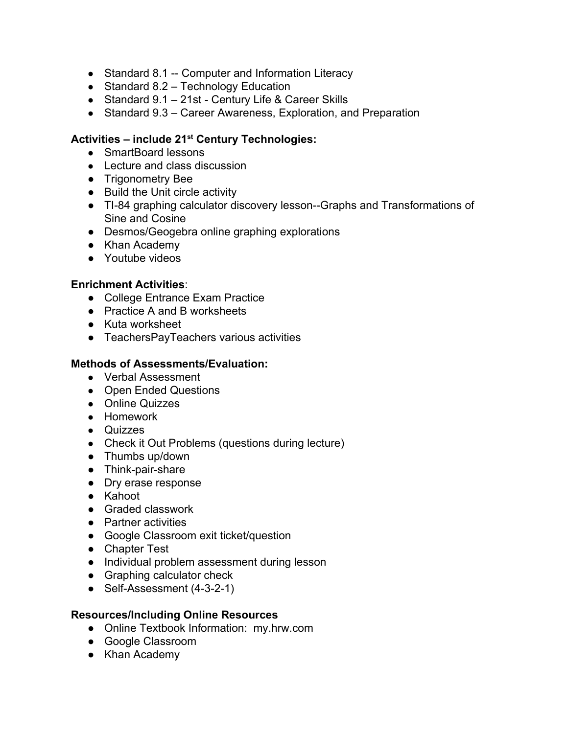- Standard 8.1 -- Computer and Information Literacy
- Standard 8.2 Technology Education
- Standard 9.1 21st Century Life & Career Skills
- Standard 9.3 Career Awareness, Exploration, and Preparation

## **Activities – include 21 st Century Technologies:**

- SmartBoard lessons
- Lecture and class discussion
- Trigonometry Bee
- Build the Unit circle activity
- TI-84 graphing calculator discovery lesson--Graphs and Transformations of Sine and Cosine
- Desmos/Geogebra online graphing explorations
- Khan Academy
- Youtube videos

## **Enrichment Activities**:

- College Entrance Exam Practice
- Practice A and B worksheets
- Kuta worksheet
- TeachersPayTeachers various activities

## **Methods of Assessments/Evaluation:**

- Verbal Assessment
- Open Ended Questions
- Online Quizzes
- Homework
- Quizzes
- Check it Out Problems (questions during lecture)
- Thumbs up/down
- Think-pair-share
- Dry erase response
- Kahoot
- Graded classwork
- Partner activities
- Google Classroom exit ticket/question
- Chapter Test
- Individual problem assessment during lesson
- Graphing calculator check
- Self-Assessment (4-3-2-1)

- Online Textbook Information: my.hrw.com
- Google Classroom
- Khan Academy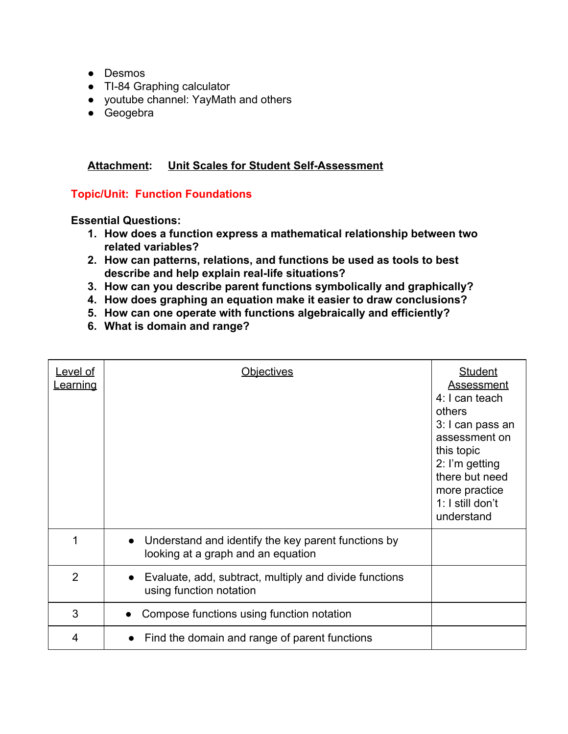- Desmos
- TI-84 Graphing calculator
- youtube channel: YayMath and others
- Geogebra

#### **Attachment: Unit Scales for Student Self-Assessment**

**Topic/Unit: Function Foundations**

- **1. How does a function express a mathematical relationship between two related variables?**
- **2. How can patterns, relations, and functions be used as tools to best describe and help explain real-life situations?**
- **3. How can you describe parent functions symbolically and graphically?**
- **4. How does graphing an equation make it easier to draw conclusions?**
- **5. How can one operate with functions algebraically and efficiently?**
- **6. What is domain and range?**

| Level of<br><u>Learning</u> | <u>Objectives</u>                                                                                      | <b>Student</b><br>Assessment<br>4: I can teach<br>others<br>3: I can pass an<br>assessment on<br>this topic<br>2: I'm getting<br>there but need<br>more practice<br>1: I still don't<br>understand |
|-----------------------------|--------------------------------------------------------------------------------------------------------|----------------------------------------------------------------------------------------------------------------------------------------------------------------------------------------------------|
| 1                           | Understand and identify the key parent functions by<br>$\bullet$<br>looking at a graph and an equation |                                                                                                                                                                                                    |
| $\overline{2}$              | Evaluate, add, subtract, multiply and divide functions<br>using function notation                      |                                                                                                                                                                                                    |
| 3                           | Compose functions using function notation                                                              |                                                                                                                                                                                                    |
| 4                           | Find the domain and range of parent functions                                                          |                                                                                                                                                                                                    |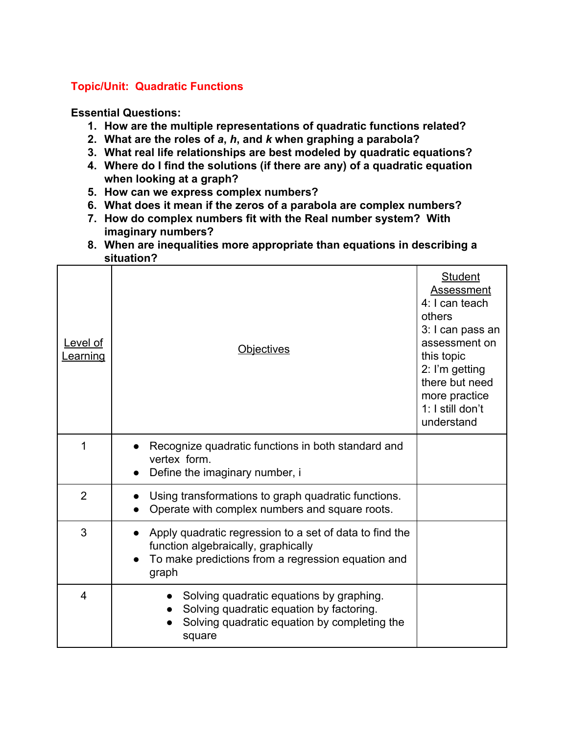## **Topic/Unit: Quadratic Functions**

- **1. How are the multiple representations of quadratic functions related?**
- **2. What are the roles of** *a***,** *h***, and** *k* **when graphing a parabola?**
- **3. What real life relationships are best modeled by quadratic equations?**
- **4. Where do I find the solutions (if there are any) of a quadratic equation when looking at a graph?**
- **5. How can we express complex numbers?**
- **6. What does it mean if the zeros of a parabola are complex numbers?**
- **7. How do complex numbers fit with the Real number system? With imaginary numbers?**
- **8. When are inequalities more appropriate than equations in describing a situation?**

| Level of<br><u>Learning</u> | <b>Objectives</b>                                                                                                                                             | <b>Student</b><br>Assessment<br>4: I can teach<br>others<br>3: I can pass an<br>assessment on<br>this topic<br>2: I'm getting<br>there but need<br>more practice<br>1: I still don't<br>understand |
|-----------------------------|---------------------------------------------------------------------------------------------------------------------------------------------------------------|----------------------------------------------------------------------------------------------------------------------------------------------------------------------------------------------------|
| 1                           | Recognize quadratic functions in both standard and<br>vertex form.<br>Define the imaginary number, i                                                          |                                                                                                                                                                                                    |
| $\overline{2}$              | Using transformations to graph quadratic functions.<br>Operate with complex numbers and square roots.                                                         |                                                                                                                                                                                                    |
| 3                           | Apply quadratic regression to a set of data to find the<br>function algebraically, graphically<br>To make predictions from a regression equation and<br>graph |                                                                                                                                                                                                    |
| $\overline{4}$              | Solving quadratic equations by graphing.<br>Solving quadratic equation by factoring.<br>Solving quadratic equation by completing the<br>square                |                                                                                                                                                                                                    |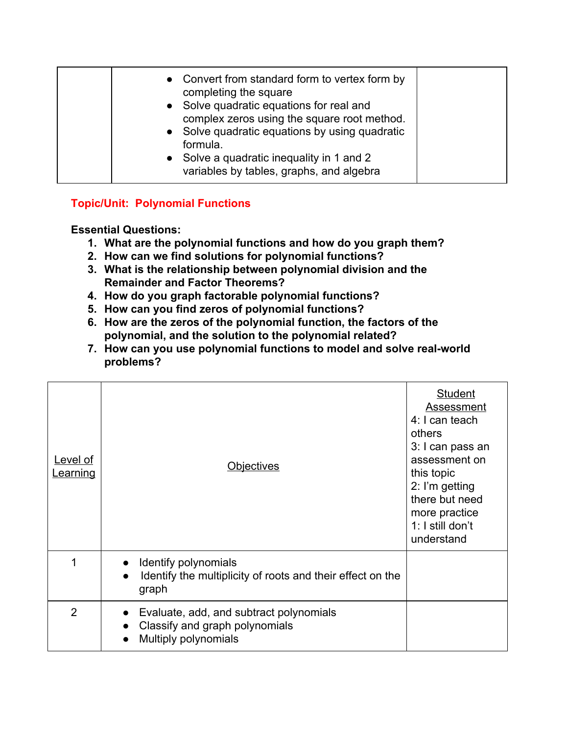| • Convert from standard form to vertex form by<br>completing the square<br>• Solve quadratic equations for real and<br>complex zeros using the square root method.<br>• Solve quadratic equations by using quadratic<br>formula.<br>• Solve a quadratic inequality in 1 and 2 |  |
|-------------------------------------------------------------------------------------------------------------------------------------------------------------------------------------------------------------------------------------------------------------------------------|--|
| variables by tables, graphs, and algebra                                                                                                                                                                                                                                      |  |

## **Topic/Unit: Polynomial Functions**

- **1. What are the polynomial functions and how do you graph them?**
- **2. How can we find solutions for polynomial functions?**
- **3. What is the relationship between polynomial division and the Remainder and Factor Theorems?**
- **4. How do you graph factorable polynomial functions?**
- **5. How can you find zeros of polynomial functions?**
- **6. How are the zeros of the polynomial function, the factors of the polynomial, and the solution to the polynomial related?**
- **7. How can you use polynomial functions to model and solve real-world problems?**

| Level of<br>Learning | <b>Objectives</b>                                                                                                           | <b>Student</b><br>Assessment<br>4: I can teach<br>others<br>3: I can pass an<br>assessment on<br>this topic<br>2: I'm getting<br>there but need<br>more practice<br>1: I still don't<br>understand |
|----------------------|-----------------------------------------------------------------------------------------------------------------------------|----------------------------------------------------------------------------------------------------------------------------------------------------------------------------------------------------|
|                      | Identify polynomials<br>$\bullet$<br>Identify the multiplicity of roots and their effect on the<br>$\bullet$<br>graph       |                                                                                                                                                                                                    |
| $\overline{2}$       | Evaluate, add, and subtract polynomials<br>$\bullet$<br>Classify and graph polynomials<br>$\bullet$<br>Multiply polynomials |                                                                                                                                                                                                    |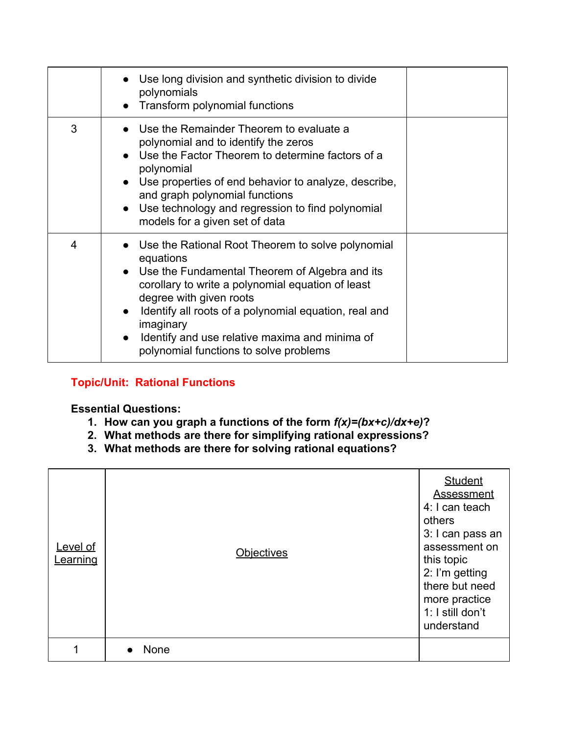|   | Use long division and synthetic division to divide<br>polynomials<br>Transform polynomial functions<br>$\bullet$                                                                                                                                                                                                                                                                               |  |
|---|------------------------------------------------------------------------------------------------------------------------------------------------------------------------------------------------------------------------------------------------------------------------------------------------------------------------------------------------------------------------------------------------|--|
| 3 | Use the Remainder Theorem to evaluate a<br>polynomial and to identify the zeros<br>• Use the Factor Theorem to determine factors of a<br>polynomial<br>• Use properties of end behavior to analyze, describe,<br>and graph polynomial functions<br>Use technology and regression to find polynomial<br>$\bullet$<br>models for a given set of data                                             |  |
| 4 | Use the Rational Root Theorem to solve polynomial<br>equations<br>• Use the Fundamental Theorem of Algebra and its<br>corollary to write a polynomial equation of least<br>degree with given roots<br>Identify all roots of a polynomial equation, real and<br>$\bullet$<br>imaginary<br>Identify and use relative maxima and minima of<br>$\bullet$<br>polynomial functions to solve problems |  |

## **Topic/Unit: Rational Functions**

- **1. How can you graph a functions of the form** *f(x)=(bx+c)/dx+e)***?**
- **2. What methods are there for simplifying rational expressions?**
- **3. What methods are there for solving rational equations?**

| Level of<br><b>Learning</b> | <b>Objectives</b> | <b>Student</b><br>Assessment<br>4: I can teach<br>others<br>3: I can pass an<br>assessment on<br>this topic<br>2: I'm getting<br>there but need<br>more practice<br>1: I still don't<br>understand |
|-----------------------------|-------------------|----------------------------------------------------------------------------------------------------------------------------------------------------------------------------------------------------|
|                             | None              |                                                                                                                                                                                                    |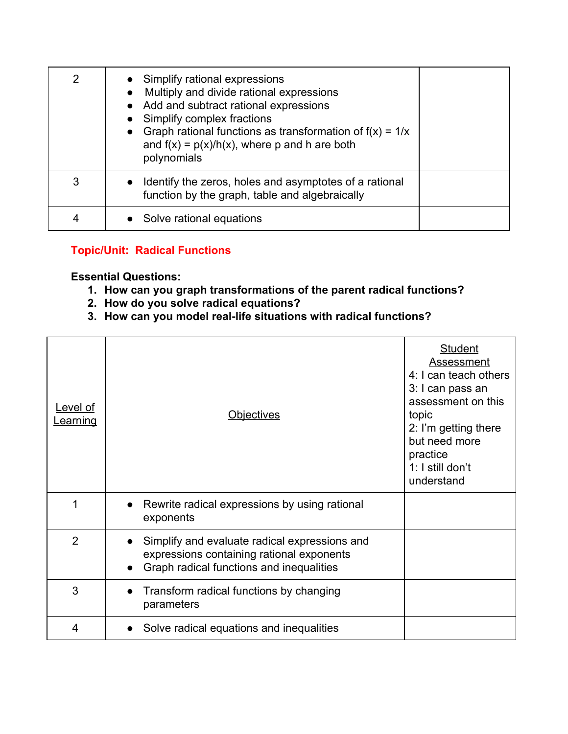| 2 | • Simplify rational expressions<br>Multiply and divide rational expressions<br>• Add and subtract rational expressions<br>• Simplify complex fractions<br>• Graph rational functions as transformation of $f(x) = 1/x$<br>and $f(x) = p(x)/h(x)$ , where p and h are both<br>polynomials |  |
|---|------------------------------------------------------------------------------------------------------------------------------------------------------------------------------------------------------------------------------------------------------------------------------------------|--|
| 3 | • Identify the zeros, holes and asymptotes of a rational<br>function by the graph, table and algebraically                                                                                                                                                                               |  |
| 4 | • Solve rational equations                                                                                                                                                                                                                                                               |  |

## **Topic/Unit: Radical Functions**

- **1. How can you graph transformations of the parent radical functions?**
- **2. How do you solve radical equations?**
- **3. How can you model real-life situations with radical functions?**

| <u>Level of </u><br><u>Learning</u> | <u>Objectives</u>                                                                                                                      | <b>Student</b><br>Assessment<br>4: I can teach others<br>3: I can pass an<br>assessment on this<br>topic<br>2. I'm getting there<br>but need more<br>practice<br>1: I still don't<br>understand |
|-------------------------------------|----------------------------------------------------------------------------------------------------------------------------------------|-------------------------------------------------------------------------------------------------------------------------------------------------------------------------------------------------|
| 1                                   | Rewrite radical expressions by using rational<br>exponents                                                                             |                                                                                                                                                                                                 |
| $\overline{2}$                      | Simplify and evaluate radical expressions and<br>expressions containing rational exponents<br>Graph radical functions and inequalities |                                                                                                                                                                                                 |
| 3                                   | Transform radical functions by changing<br>$\bullet$<br>parameters                                                                     |                                                                                                                                                                                                 |
| 4                                   | Solve radical equations and inequalities                                                                                               |                                                                                                                                                                                                 |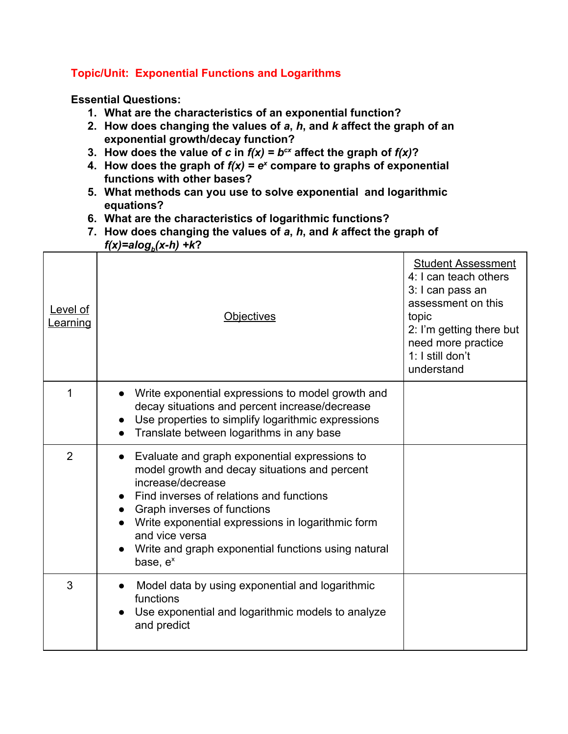### **Topic/Unit: Exponential Functions and Logarithms**

- **1. What are the characteristics of an exponential function?**
- **2. How does changing the values of** *a***,** *h***, and** *k* **affect the graph of an exponential growth/decay function?**
- **3.** How does the value of *c* in  $f(x) = b^{cx}$  affect the graph of  $f(x)$ ?
- **4. How does the graph of** *f(x) = e x* **compare to graphs of exponential functions with other bases?**
- **5. What methods can you use to solve exponential and logarithmic equations?**
- **6. What are the characteristics of logarithmic functions?**
- **7. How does changing the values of** *a***,** *h***, and** *k* **affect the graph of** *f(x)=alogb (x-h) +k***?**

| Level of<br>Learning | <b>Objectives</b>                                                                                                                                                                                                                                                                                                                                      | <b>Student Assessment</b><br>4: I can teach others<br>3: I can pass an<br>assessment on this<br>topic<br>2: I'm getting there but<br>need more practice<br>1: I still don't<br>understand |
|----------------------|--------------------------------------------------------------------------------------------------------------------------------------------------------------------------------------------------------------------------------------------------------------------------------------------------------------------------------------------------------|-------------------------------------------------------------------------------------------------------------------------------------------------------------------------------------------|
| 1                    | Write exponential expressions to model growth and<br>decay situations and percent increase/decrease<br>Use properties to simplify logarithmic expressions<br>Translate between logarithms in any base                                                                                                                                                  |                                                                                                                                                                                           |
| 2                    | Evaluate and graph exponential expressions to<br>model growth and decay situations and percent<br>increase/decrease<br>Find inverses of relations and functions<br>• Graph inverses of functions<br>Write exponential expressions in logarithmic form<br>and vice versa<br>Write and graph exponential functions using natural<br>base, e <sup>x</sup> |                                                                                                                                                                                           |
| 3                    | Model data by using exponential and logarithmic<br>functions<br>Use exponential and logarithmic models to analyze<br>and predict                                                                                                                                                                                                                       |                                                                                                                                                                                           |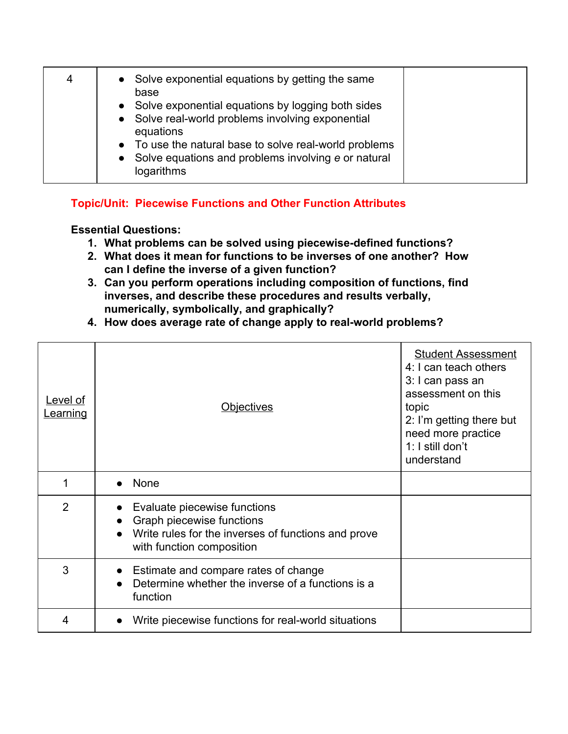| 4 | • Solve exponential equations by getting the same<br>base<br>• Solve exponential equations by logging both sides<br>• Solve real-world problems involving exponential<br>equations |  |
|---|------------------------------------------------------------------------------------------------------------------------------------------------------------------------------------|--|
|   | • To use the natural base to solve real-world problems<br>Solve equations and problems involving e or natural<br>logarithms                                                        |  |

## **Topic/Unit: Piecewise Functions and Other Function Attributes**

- **1. What problems can be solved using piecewise-defined functions?**
- **2. What does it mean for functions to be inverses of one another? How can I define the inverse of a given function?**
- **3. Can you perform operations including composition of functions, find inverses, and describe these procedures and results verbally, numerically, symbolically, and graphically?**
- **4. How does average rate of change apply to real-world problems?**

| Level of<br><u>Learning</u> | <b>Objectives</b>                                                                                                                             | <b>Student Assessment</b><br>4: I can teach others<br>3: I can pass an<br>assessment on this<br>topic<br>2: I'm getting there but<br>need more practice<br>1: I still don't<br>understand |
|-----------------------------|-----------------------------------------------------------------------------------------------------------------------------------------------|-------------------------------------------------------------------------------------------------------------------------------------------------------------------------------------------|
|                             | None                                                                                                                                          |                                                                                                                                                                                           |
| $\overline{2}$              | Evaluate piecewise functions<br>Graph piecewise functions<br>Write rules for the inverses of functions and prove<br>with function composition |                                                                                                                                                                                           |
| 3                           | Estimate and compare rates of change<br>Determine whether the inverse of a functions is a<br>function                                         |                                                                                                                                                                                           |
| 4                           | Write piecewise functions for real-world situations                                                                                           |                                                                                                                                                                                           |